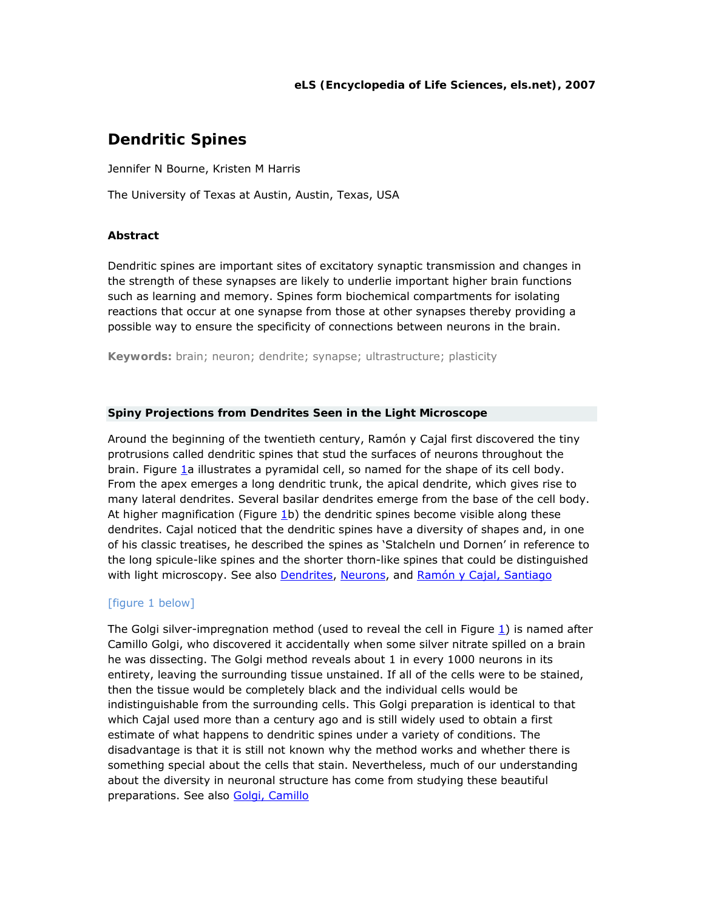## **eLS (Encyclopedia of Life Sciences, els.net), 2007**

# **Dendritic Spines**

Jennifer N Bourne, Kristen M Harris

The University of Texas at Austin, Austin, Texas, USA

#### **Abstract**

Dendritic spines are important sites of excitatory synaptic transmission and changes in the strength of these synapses are likely to underlie important higher brain functions such as learning and memory. Spines form biochemical compartments for isolating reactions that occur at one synapse from those at other synapses thereby providing a possible way to ensure the specificity of connections between neurons in the brain.

**Keywords:** brain; neuron; dendrite; synapse; ultrastructure; plasticity

#### **Spiny Projections from Dendrites Seen in the Light Microscope**

Around the beginning of the twentieth century, Ramón y Cajal first discovered the tiny protrusions called dendritic spines that stud the surfaces of neurons throughout the brain. Figure 1a illustrates a pyramidal cell, so named for the shape of its cell body. From the apex emerges a long dendritic trunk, the apical dendrite, which gives rise to many lateral dendrites. Several basilar dendrites emerge from the base of the cell body. At higher magnification (Figure 1b) the dendritic spines become visible along these dendrites. Cajal noticed that the dendritic spines have a diversity of shapes and, in one of his classic treatises, he described the spines as 'Stalcheln und Dornen' in reference to the long spicule-like spines and the shorter thorn-like spines that could be distinguished with light microscopy. See also Dendrites, Neurons, and Ramón y Cajal, Santiago

## [figure 1 below]

The Golgi silver-impregnation method (used to reveal the cell in Figure 1) is named after Camillo Golgi, who discovered it accidentally when some silver nitrate spilled on a brain he was dissecting. The Golgi method reveals about 1 in every 1000 neurons in its entirety, leaving the surrounding tissue unstained. If all of the cells were to be stained, then the tissue would be completely black and the individual cells would be indistinguishable from the surrounding cells. This Golgi preparation is identical to that which Cajal used more than a century ago and is still widely used to obtain a first estimate of what happens to dendritic spines under a variety of conditions. The disadvantage is that it is still not known why the method works and whether there is something special about the cells that stain. Nevertheless, much of our understanding about the diversity in neuronal structure has come from studying these beautiful preparations. See also Golgi, Camillo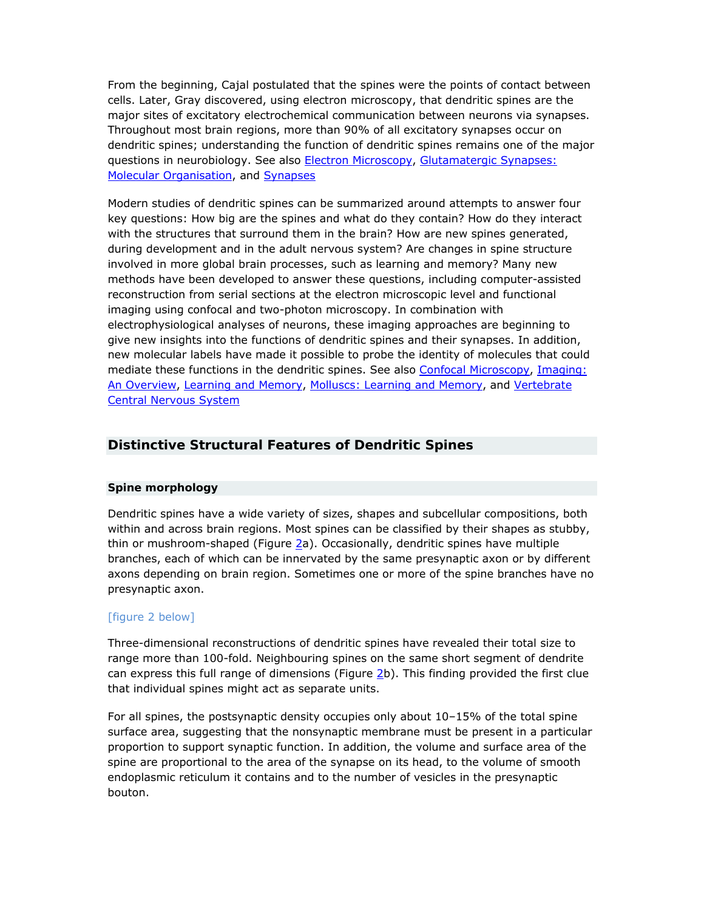From the beginning, Cajal postulated that the spines were the points of contact between cells. Later, Gray discovered, using electron microscopy, that dendritic spines are the major sites of excitatory electrochemical communication between neurons via synapses. Throughout most brain regions, more than 90% of all excitatory synapses occur on dendritic spines; understanding the function of dendritic spines remains one of the major questions in neurobiology. See also Electron Microscopy, Glutamatergic Synapses: Molecular Organisation, and Synapses

Modern studies of dendritic spines can be summarized around attempts to answer four key questions: How big are the spines and what do they contain? How do they interact with the structures that surround them in the brain? How are new spines generated, during development and in the adult nervous system? Are changes in spine structure involved in more global brain processes, such as learning and memory? Many new methods have been developed to answer these questions, including computer-assisted reconstruction from serial sections at the electron microscopic level and functional imaging using confocal and two-photon microscopy. In combination with electrophysiological analyses of neurons, these imaging approaches are beginning to give new insights into the functions of dendritic spines and their synapses. In addition, new molecular labels have made it possible to probe the identity of molecules that could mediate these functions in the dendritic spines. See also Confocal Microscopy, Imaging: An Overview, Learning and Memory, Molluscs: Learning and Memory, and Vertebrate Central Nervous System

## **Distinctive Structural Features of Dendritic Spines**

#### **Spine morphology**

Dendritic spines have a wide variety of sizes, shapes and subcellular compositions, both within and across brain regions. Most spines can be classified by their shapes as stubby, thin or mushroom-shaped (Figure  $2a$ ). Occasionally, dendritic spines have multiple branches, each of which can be innervated by the same presynaptic axon or by different axons depending on brain region. Sometimes one or more of the spine branches have no presynaptic axon.

## [figure 2 below]

Three-dimensional reconstructions of dendritic spines have revealed their total size to range more than 100-fold. Neighbouring spines on the same short segment of dendrite can express this full range of dimensions (Figure  $2b$ ). This finding provided the first clue that individual spines might act as separate units.

For all spines, the postsynaptic density occupies only about 10–15% of the total spine surface area, suggesting that the nonsynaptic membrane must be present in a particular proportion to support synaptic function. In addition, the volume and surface area of the spine are proportional to the area of the synapse on its head, to the volume of smooth endoplasmic reticulum it contains and to the number of vesicles in the presynaptic bouton.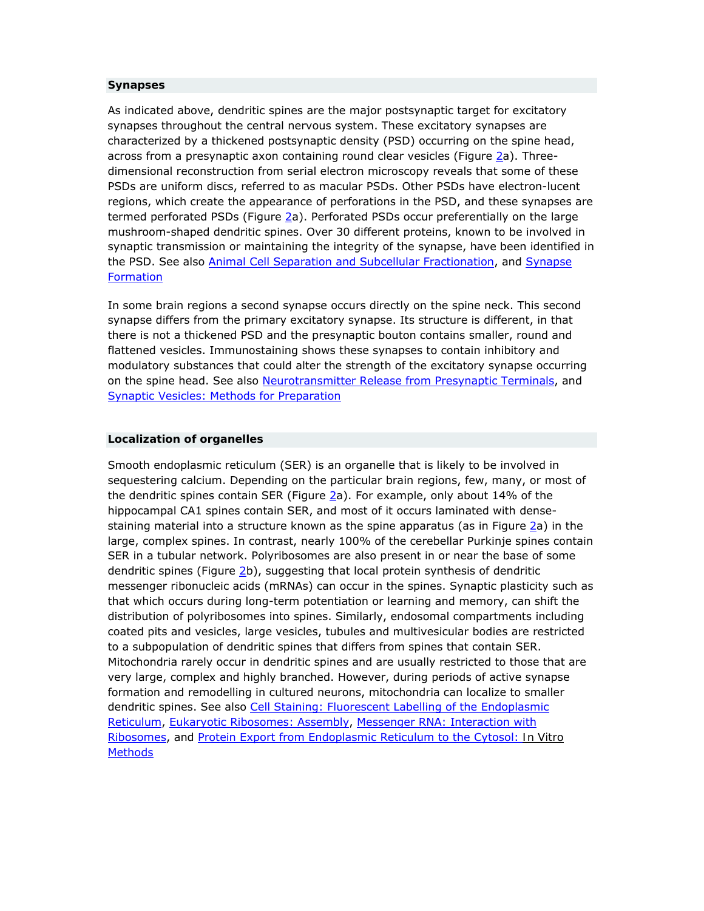#### **Synapses**

As indicated above, dendritic spines are the major postsynaptic target for excitatory synapses throughout the central nervous system. These excitatory synapses are characterized by a thickened postsynaptic density (PSD) occurring on the spine head, across from a presynaptic axon containing round clear vesicles (Figure 2a). Threedimensional reconstruction from serial electron microscopy reveals that some of these PSDs are uniform discs, referred to as macular PSDs. Other PSDs have electron-lucent regions, which create the appearance of perforations in the PSD, and these synapses are termed perforated PSDs (Figure  $2a$ ). Perforated PSDs occur preferentially on the large mushroom-shaped dendritic spines. Over 30 different proteins, known to be involved in synaptic transmission or maintaining the integrity of the synapse, have been identified in the PSD. See also Animal Cell Separation and Subcellular Fractionation, and Synapse Formation

In some brain regions a second synapse occurs directly on the spine neck. This second synapse differs from the primary excitatory synapse. Its structure is different, in that there is not a thickened PSD and the presynaptic bouton contains smaller, round and flattened vesicles. Immunostaining shows these synapses to contain inhibitory and modulatory substances that could alter the strength of the excitatory synapse occurring on the spine head. See also Neurotransmitter Release from Presynaptic Terminals, and Synaptic Vesicles: Methods for Preparation

#### **Localization of organelles**

Smooth endoplasmic reticulum (SER) is an organelle that is likely to be involved in sequestering calcium. Depending on the particular brain regions, few, many, or most of the dendritic spines contain SER (Figure 2a). For example, only about 14% of the hippocampal CA1 spines contain SER, and most of it occurs laminated with densestaining material into a structure known as the spine apparatus (as in Figure  $2a$ ) in the large, complex spines. In contrast, nearly 100% of the cerebellar Purkinje spines contain SER in a tubular network. Polyribosomes are also present in or near the base of some dendritic spines (Figure 2b), suggesting that local protein synthesis of dendritic messenger ribonucleic acids (mRNAs) can occur in the spines. Synaptic plasticity such as that which occurs during long-term potentiation or learning and memory, can shift the distribution of polyribosomes into spines. Similarly, endosomal compartments including coated pits and vesicles, large vesicles, tubules and multivesicular bodies are restricted to a subpopulation of dendritic spines that differs from spines that contain SER. Mitochondria rarely occur in dendritic spines and are usually restricted to those that are very large, complex and highly branched. However, during periods of active synapse formation and remodelling in cultured neurons, mitochondria can localize to smaller dendritic spines. See also Cell Staining: Fluorescent Labelling of the Endoplasmic Reticulum, Eukaryotic Ribosomes: Assembly, Messenger RNA: Interaction with Ribosomes, and Protein Export from Endoplasmic Reticulum to the Cytosol: *In Vitro* **Methods**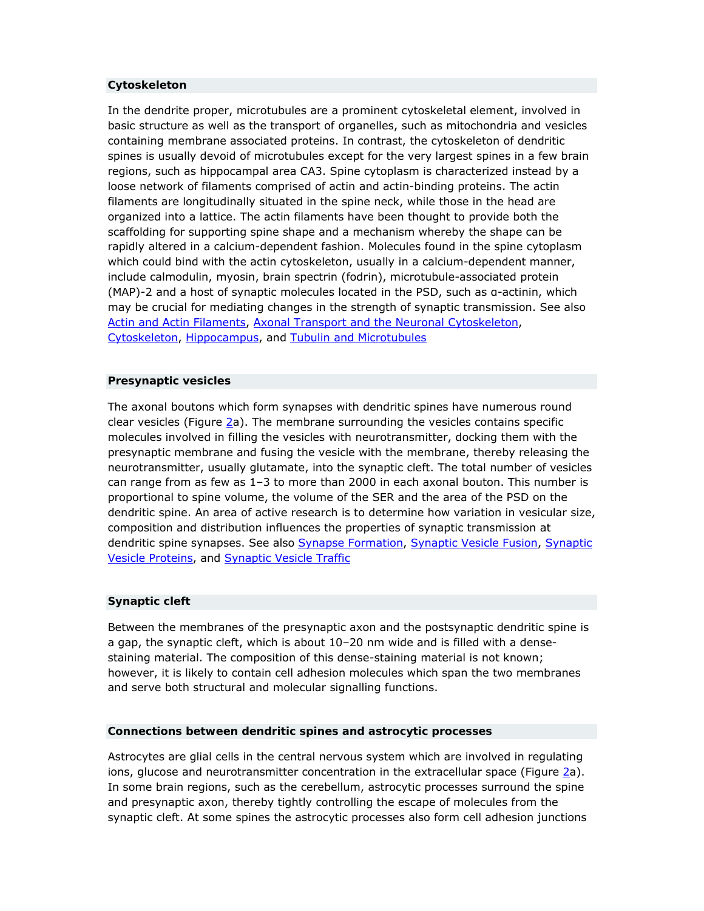#### **Cytoskeleton**

In the dendrite proper, microtubules are a prominent cytoskeletal element, involved in basic structure as well as the transport of organelles, such as mitochondria and vesicles containing membrane associated proteins. In contrast, the cytoskeleton of dendritic spines is usually devoid of microtubules except for the very largest spines in a few brain regions, such as hippocampal area CA3. Spine cytoplasm is characterized instead by a loose network of filaments comprised of actin and actin-binding proteins. The actin filaments are longitudinally situated in the spine neck, while those in the head are organized into a lattice. The actin filaments have been thought to provide both the scaffolding for supporting spine shape and a mechanism whereby the shape can be rapidly altered in a calcium-dependent fashion. Molecules found in the spine cytoplasm which could bind with the actin cytoskeleton, usually in a calcium-dependent manner, include calmodulin, myosin, brain spectrin (fodrin), microtubule-associated protein (MAP)-2 and a host of synaptic molecules located in the PSD, such as α-actinin, which may be crucial for mediating changes in the strength of synaptic transmission. See also Actin and Actin Filaments, Axonal Transport and the Neuronal Cytoskeleton, Cytoskeleton, Hippocampus, and Tubulin and Microtubules

#### **Presynaptic vesicles**

The axonal boutons which form synapses with dendritic spines have numerous round clear vesicles (Figure  $2a$ ). The membrane surrounding the vesicles contains specific molecules involved in filling the vesicles with neurotransmitter, docking them with the presynaptic membrane and fusing the vesicle with the membrane, thereby releasing the neurotransmitter, usually glutamate, into the synaptic cleft. The total number of vesicles can range from as few as 1–3 to more than 2000 in each axonal bouton. This number is proportional to spine volume, the volume of the SER and the area of the PSD on the dendritic spine. An area of active research is to determine how variation in vesicular size, composition and distribution influences the properties of synaptic transmission at dendritic spine synapses. See also Synapse Formation, Synaptic Vesicle Fusion, Synaptic Vesicle Proteins, and Synaptic Vesicle Traffic

#### **Synaptic cleft**

Between the membranes of the presynaptic axon and the postsynaptic dendritic spine is a gap, the synaptic cleft, which is about 10–20 nm wide and is filled with a densestaining material. The composition of this dense-staining material is not known; however, it is likely to contain cell adhesion molecules which span the two membranes and serve both structural and molecular signalling functions.

#### **Connections between dendritic spines and astrocytic processes**

Astrocytes are glial cells in the central nervous system which are involved in regulating ions, glucose and neurotransmitter concentration in the extracellular space (Figure  $2a$ ). In some brain regions, such as the cerebellum, astrocytic processes surround the spine and presynaptic axon, thereby tightly controlling the escape of molecules from the synaptic cleft. At some spines the astrocytic processes also form cell adhesion junctions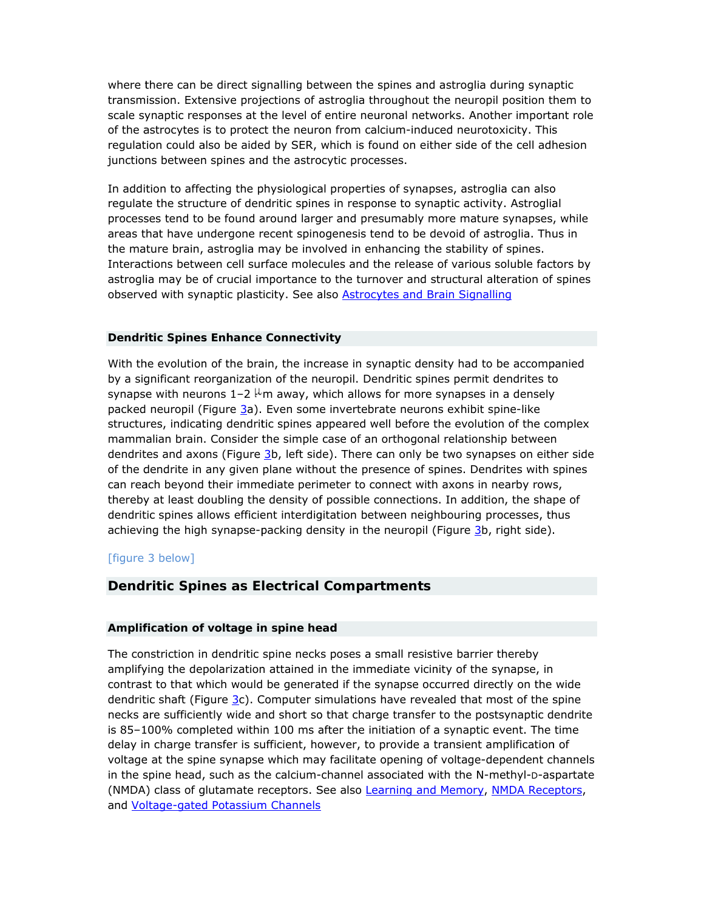where there can be direct signalling between the spines and astroglia during synaptic transmission. Extensive projections of astroglia throughout the neuropil position them to scale synaptic responses at the level of entire neuronal networks. Another important role of the astrocytes is to protect the neuron from calcium-induced neurotoxicity. This regulation could also be aided by SER, which is found on either side of the cell adhesion junctions between spines and the astrocytic processes.

In addition to affecting the physiological properties of synapses, astroglia can also regulate the structure of dendritic spines in response to synaptic activity. Astroglial processes tend to be found around larger and presumably more mature synapses, while areas that have undergone recent spinogenesis tend to be devoid of astroglia. Thus in the mature brain, astroglia may be involved in enhancing the stability of spines. Interactions between cell surface molecules and the release of various soluble factors by astroglia may be of crucial importance to the turnover and structural alteration of spines observed with synaptic plasticity. See also Astrocytes and Brain Signalling

#### **Dendritic Spines Enhance Connectivity**

With the evolution of the brain, the increase in synaptic density had to be accompanied by a significant reorganization of the neuropil. Dendritic spines permit dendrites to synapse with neurons 1–2  $\mu$ m away, which allows for more synapses in a densely packed neuropil (Figure 3a). Even some invertebrate neurons exhibit spine-like structures, indicating dendritic spines appeared well before the evolution of the complex mammalian brain. Consider the simple case of an orthogonal relationship between dendrites and axons (Figure 3b, left side). There can only be two synapses on either side of the dendrite in any given plane without the presence of spines. Dendrites with spines can reach beyond their immediate perimeter to connect with axons in nearby rows, thereby at least doubling the density of possible connections. In addition, the shape of dendritic spines allows efficient interdigitation between neighbouring processes, thus achieving the high synapse-packing density in the neuropil (Figure 3b, right side).

## [figure 3 below]

## **Dendritic Spines as Electrical Compartments**

#### Amplification of voltage in spine head

The constriction in dendritic spine necks poses a small resistive barrier thereby amplifying the depolarization attained in the immediate vicinity of the synapse, in contrast to that which would be generated if the synapse occurred directly on the wide dendritic shaft (Figure 3c). Computer simulations have revealed that most of the spine necks are sufficiently wide and short so that charge transfer to the postsynaptic dendrite is 85-100% completed within 100 ms after the initiation of a synaptic event. The time delay in charge transfer is sufficient, however, to provide a transient amplification of voltage at the spine synapse which may facilitate opening of voltage-dependent channels in the spine head, such as the calcium-channel associated with the N-methyl-D-aspartate (NMDA) class of glutamate receptors. See also Learning and Memory, NMDA Receptors, and Voltage-gated Potassium Channels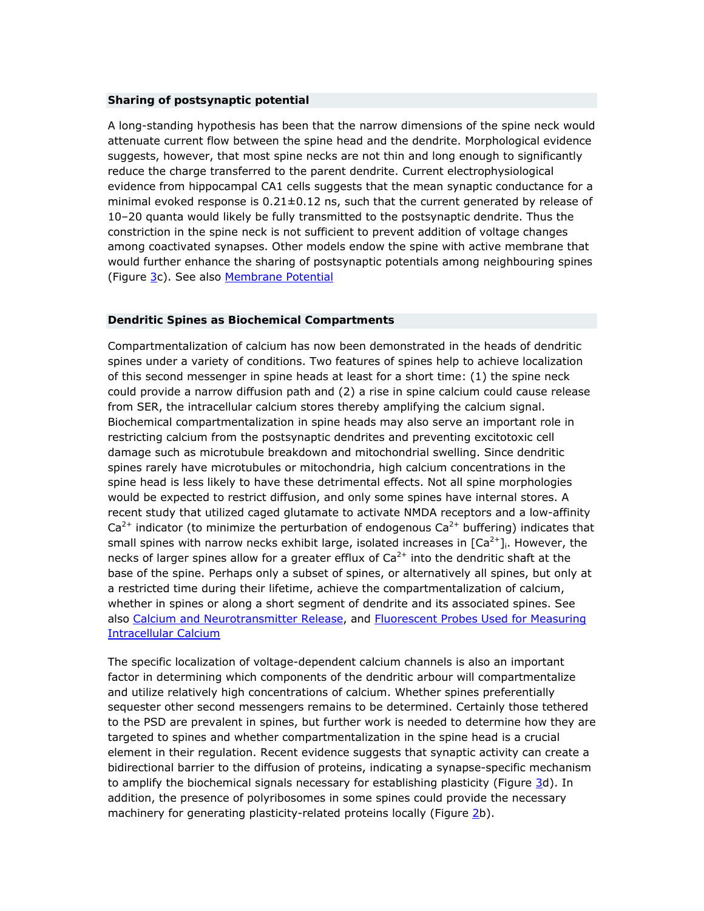#### **Sharing of postsynaptic potential**

A long-standing hypothesis has been that the narrow dimensions of the spine neck would attenuate current flow between the spine head and the dendrite. Morphological evidence suggests, however, that most spine necks are not thin and long enough to significantly reduce the charge transferred to the parent dendrite. Current electrophysiological evidence from hippocampal CA1 cells suggests that the mean synaptic conductance for a minimal evoked response is  $0.21 \pm 0.12$  ns, such that the current generated by release of 10–20 quanta would likely be fully transmitted to the postsynaptic dendrite. Thus the constriction in the spine neck is not sufficient to prevent addition of voltage changes among coactivated synapses. Other models endow the spine with active membrane that would further enhance the sharing of postsynaptic potentials among neighbouring spines (Figure 3c). See also Membrane Potential

#### **Dendritic Spines as Biochemical Compartments**

Compartmentalization of calcium has now been demonstrated in the heads of dendritic spines under a variety of conditions. Two features of spines help to achieve localization of this second messenger in spine heads at least for a short time: (1) the spine neck could provide a narrow diffusion path and (2) a rise in spine calcium could cause release from SER, the intracellular calcium stores thereby amplifying the calcium signal. Biochemical compartmentalization in spine heads may also serve an important role in restricting calcium from the postsynaptic dendrites and preventing excitotoxic cell damage such as microtubule breakdown and mitochondrial swelling. Since dendritic spines rarely have microtubules or mitochondria, high calcium concentrations in the spine head is less likely to have these detrimental effects. Not all spine morphologies would be expected to restrict diffusion, and only some spines have internal stores. A recent study that utilized caged glutamate to activate NMDA receptors and a low-affinity  $Ca<sup>2+</sup>$  indicator (to minimize the perturbation of endogenous  $Ca<sup>2+</sup>$  buffering) indicates that small spines with narrow necks exhibit large, isolated increases in  $\lceil Ca^{2+} \rceil$ . However, the necks of larger spines allow for a greater efflux of  $Ca<sup>2+</sup>$  into the dendritic shaft at the base of the spine. Perhaps only a subset of spines, or alternatively all spines, but only at a restricted time during their lifetime, achieve the compartmentalization of calcium, whether in spines or along a short segment of dendrite and its associated spines. See also Calcium and Neurotransmitter Release, and Fluorescent Probes Used for Measuring Intracellular Calcium

The specific localization of voltage-dependent calcium channels is also an important factor in determining which components of the dendritic arbour will compartmentalize and utilize relatively high concentrations of calcium. Whether spines preferentially sequester other second messengers remains to be determined. Certainly those tethered to the PSD are prevalent in spines, but further work is needed to determine how they are targeted to spines and whether compartmentalization in the spine head is a crucial element in their regulation. Recent evidence suggests that synaptic activity can create a bidirectional barrier to the diffusion of proteins, indicating a synapse-specific mechanism to amplify the biochemical signals necessary for establishing plasticity (Figure 3d). In addition, the presence of polyribosomes in some spines could provide the necessary machinery for generating plasticity-related proteins locally (Figure 2b).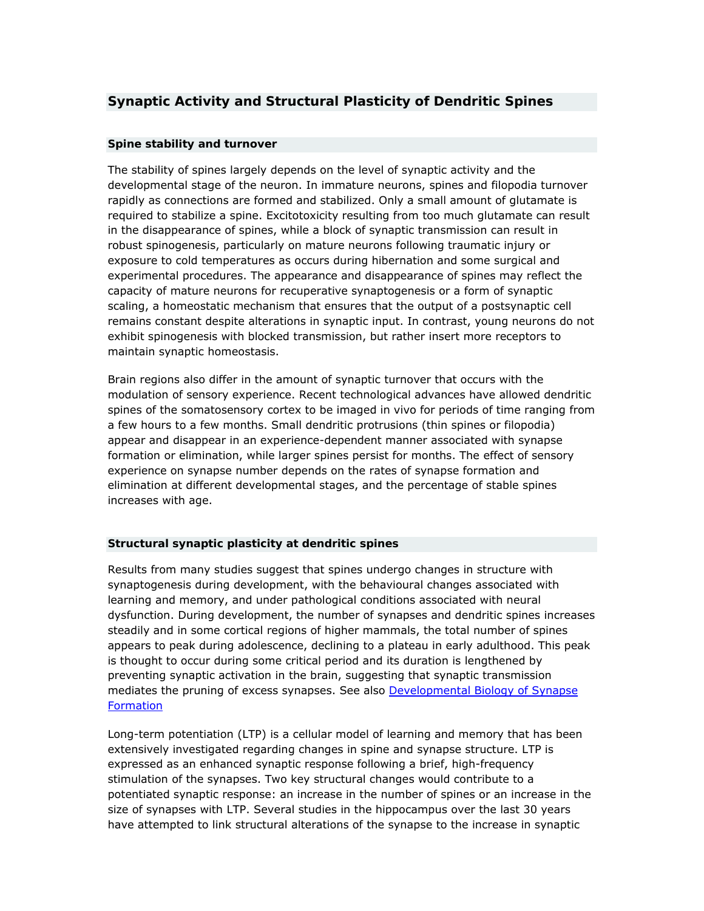## **Synaptic Activity and Structural Plasticity of Dendritic Spines**

## **Spine stability and turnover**

The stability of spines largely depends on the level of synaptic activity and the developmental stage of the neuron. In immature neurons, spines and filopodia turnover rapidly as connections are formed and stabilized. Only a small amount of glutamate is required to stabilize a spine. Excitotoxicity resulting from too much glutamate can result in the disappearance of spines, while a block of synaptic transmission can result in robust spinogenesis, particularly on mature neurons following traumatic injury or exposure to cold temperatures as occurs during hibernation and some surgical and experimental procedures. The appearance and disappearance of spines may reflect the capacity of mature neurons for recuperative synaptogenesis or a form of synaptic scaling, a homeostatic mechanism that ensures that the output of a postsynaptic cell remains constant despite alterations in synaptic input. In contrast, young neurons do not exhibit spinogenesis with blocked transmission, but rather insert more receptors to maintain synaptic homeostasis.

Brain regions also differ in the amount of synaptic turnover that occurs with the modulation of sensory experience. Recent technological advances have allowed dendritic spines of the somatosensory cortex to be imaged *in vivo* for periods of time ranging from a few hours to a few months. Small dendritic protrusions (thin spines or filopodia) appear and disappear in an experience-dependent manner associated with synapse formation or elimination, while larger spines persist for months. The effect of sensory experience on synapse number depends on the rates of synapse formation and elimination at different developmental stages, and the percentage of stable spines increases with age.

## **Structural synaptic plasticity at dendritic spines**

Results from many studies suggest that spines undergo changes in structure with synaptogenesis during development, with the behavioural changes associated with learning and memory, and under pathological conditions associated with neural dysfunction. During development, the number of synapses and dendritic spines increases steadily and in some cortical regions of higher mammals, the total number of spines appears to peak during adolescence, declining to a plateau in early adulthood. This peak is thought to occur during some critical period and its duration is lengthened by preventing synaptic activation in the brain, suggesting that synaptic transmission mediates the pruning of excess synapses. See also Developmental Biology of Synapse Formation

Long-term potentiation (LTP) is a cellular model of learning and memory that has been extensively investigated regarding changes in spine and synapse structure. LTP is expressed as an enhanced synaptic response following a brief, high-frequency stimulation of the synapses. Two key structural changes would contribute to a potentiated synaptic response: an increase in the number of spines or an increase in the size of synapses with LTP. Several studies in the hippocampus over the last 30 years have attempted to link structural alterations of the synapse to the increase in synaptic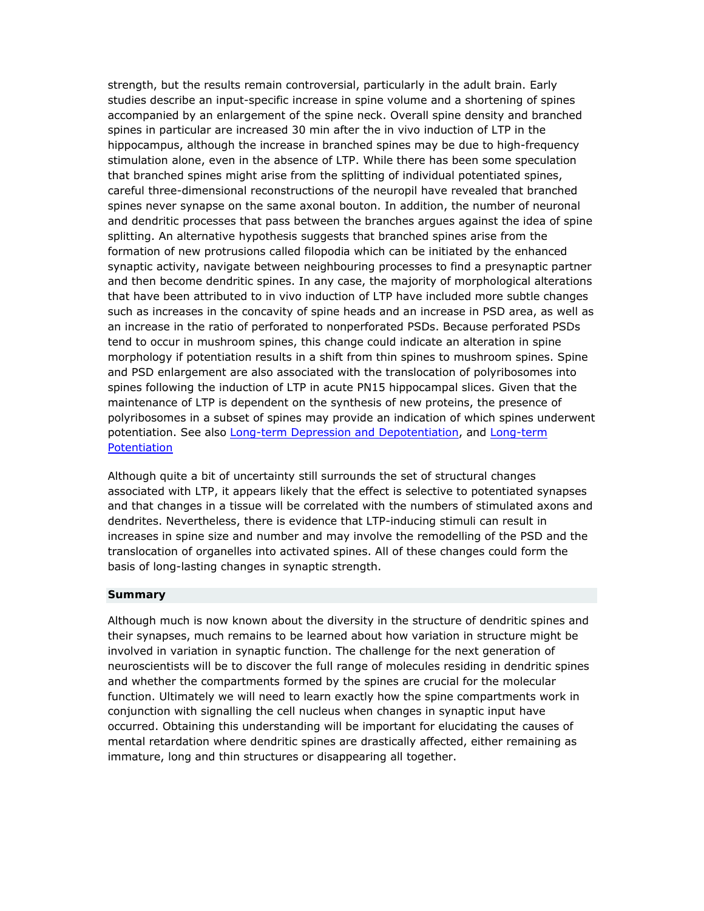strength, but the results remain controversial, particularly in the adult brain. Early studies describe an input-specific increase in spine volume and a shortening of spines accompanied by an enlargement of the spine neck. Overall spine density and branched spines in particular are increased 30 min after the *in vivo* induction of LTP in the hippocampus, although the increase in branched spines may be due to high-frequency stimulation alone, even in the absence of LTP. While there has been some speculation that branched spines might arise from the splitting of individual potentiated spines, careful three-dimensional reconstructions of the neuropil have revealed that branched spines never synapse on the same axonal bouton. In addition, the number of neuronal and dendritic processes that pass between the branches argues against the idea of spine splitting. An alternative hypothesis suggests that branched spines arise from the formation of new protrusions called filopodia which can be initiated by the enhanced synaptic activity, navigate between neighbouring processes to find a presynaptic partner and then become dendritic spines. In any case, the majority of morphological alterations that have been attributed to *in vivo* induction of LTP have included more subtle changes such as increases in the concavity of spine heads and an increase in PSD area, as well as an increase in the ratio of perforated to nonperforated PSDs. Because perforated PSDs tend to occur in mushroom spines, this change could indicate an alteration in spine morphology if potentiation results in a shift from thin spines to mushroom spines. Spine and PSD enlargement are also associated with the translocation of polyribosomes into spines following the induction of LTP in acute PN15 hippocampal slices. Given that the maintenance of LTP is dependent on the synthesis of new proteins, the presence of polyribosomes in a subset of spines may provide an indication of which spines underwent potentiation. See also **Long-term Depression and Depotentiation**, and Long-term **Potentiation** 

Although quite a bit of uncertainty still surrounds the set of structural changes associated with LTP, it appears likely that the effect is selective to potentiated synapses and that changes in a tissue will be correlated with the numbers of stimulated axons and dendrites. Nevertheless, there is evidence that LTP-inducing stimuli can result in increases in spine size and number and may involve the remodelling of the PSD and the translocation of organelles into activated spines. All of these changes could form the basis of long-lasting changes in synaptic strength.

#### **Summary**

Although much is now known about the diversity in the structure of dendritic spines and their synapses, much remains to be learned about how variation in structure might be involved in variation in synaptic function. The challenge for the next generation of neuroscientists will be to discover the full range of molecules residing in dendritic spines and whether the compartments formed by the spines are crucial for the molecular function. Ultimately we will need to learn exactly how the spine compartments work in conjunction with signalling the cell nucleus when changes in synaptic input have occurred. Obtaining this understanding will be important for elucidating the causes of mental retardation where dendritic spines are drastically affected, either remaining as immature, long and thin structures or disappearing all together.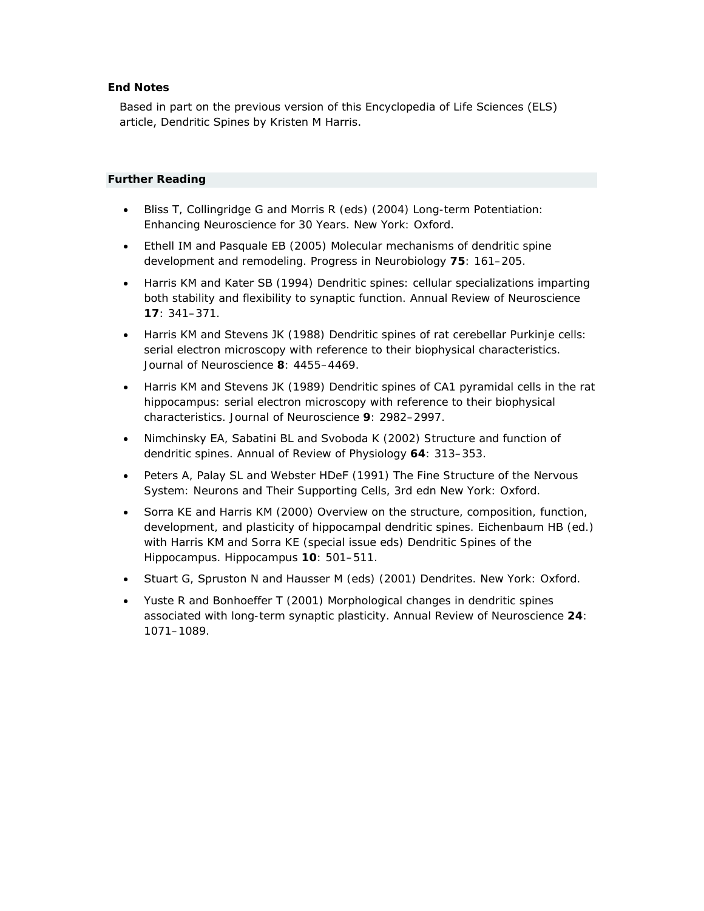#### **End Notes**

 Based in part on the previous version of this Encyclopedia of Life Sciences (ELS) article, Dendritic Spines by Kristen M Harris.

#### **Further Reading**

- Bliss T*,* Collingridge G *and* Morris R *(eds) (2004) Long-term Potentiation: Enhancing Neuroscience for 30 Years. New York: Oxford.*
- Ethell IM *and* Pasquale EB *(2005) Molecular mechanisms of dendritic spine development and remodeling. Progress in Neurobiology 75: 161–205.*
- Harris KM *and* Kater SB *(1994) Dendritic spines: cellular specializations imparting both stability and flexibility to synaptic function. Annual Review of Neuroscience 17: 341–371.*
- Harris KM *and* Stevens JK *(1988) Dendritic spines of rat cerebellar Purkinje cells: serial electron microscopy with reference to their biophysical characteristics. Journal of Neuroscience 8: 4455–4469.*
- Harris KM *and* Stevens JK *(1989) Dendritic spines of CA1 pyramidal cells in the rat hippocampus: serial electron microscopy with reference to their biophysical characteristics. Journal of Neuroscience 9: 2982–2997.*
- Nimchinsky EA*,* Sabatini BL *and* Svoboda K *(2002) Structure and function of dendritic spines. Annual of Review of Physiology 64: 313–353.*
- Peters A*,* Palay SL *and* Webster HDeF *(1991) The Fine Structure of the Nervous System: Neurons and Their Supporting Cells, 3rd edn New York: Oxford.*
- Sorra KE *and* Harris KM *(2000) Overview on the structure, composition, function, development, and plasticity of hippocampal dendritic spines.* Eichenbaum HB *(ed.) with Harris KM and Sorra KE (special issue eds) Dendritic Spines of the Hippocampus. Hippocampus 10: 501–511.*
- Stuart G*,* Spruston N *and* Hausser M *(eds) (2001) Dendrites. New York: Oxford.*
- Yuste R *and* Bonhoeffer T *(2001) Morphological changes in dendritic spines associated with long-term synaptic plasticity. Annual Review of Neuroscience 24: 1071–1089.*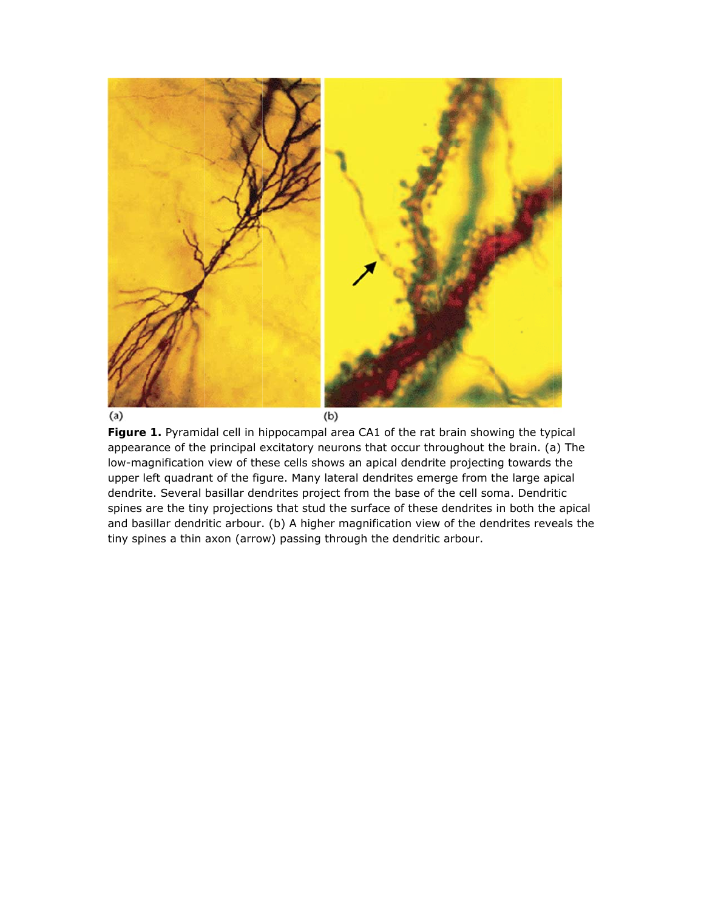

Figure 1. Pyramidal cell in hippocampal area CA1 of the rat brain showing the typical appearance of the principal excitatory neurons that occur throughout the brain. (a) The low-magnification view of these cells shows an apical dendrite projecting towards the upper left quadrant of the figure. Many lateral dendrites emerge from the large apical dendrite. Several basillar dendrites project from the base of the cell soma. Dendritic spines are the tiny projections that stud the surface of these dendrites in both the apical and basillar dendritic arbour. (b) A higher magnification view of the dendrites reveals the tiny spines a thin axon (arrow) passing through the dendritic arbour.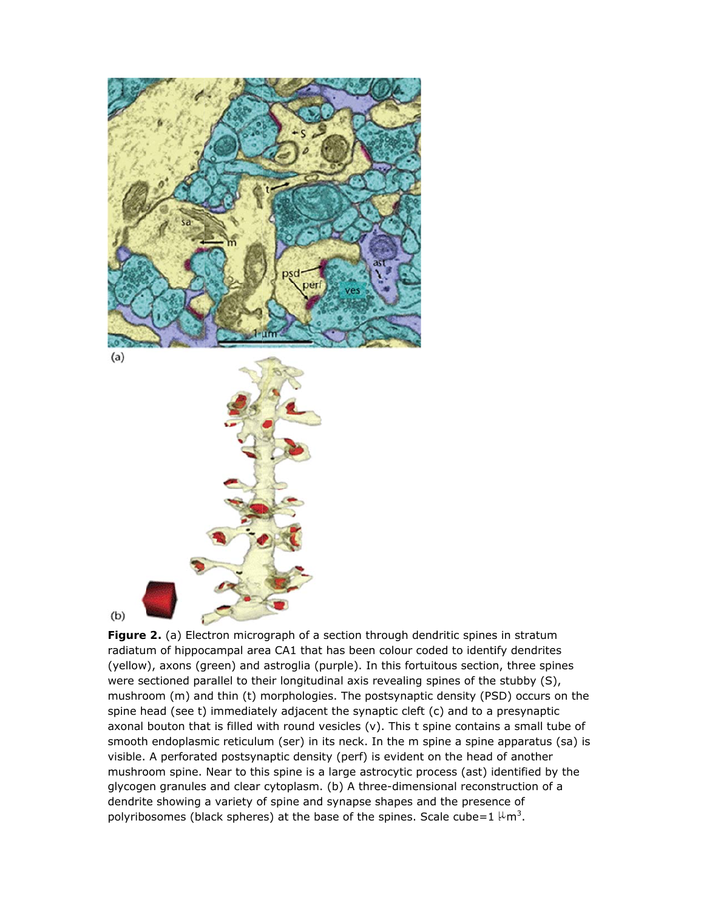

Figure 2. (a) Electron micrograph of a section through dendritic spines in stratum radiatum of hippocampal area CA1 that has been colour coded to identify dendrites (yellow), axons (green) and astroglia (purple). In this fortuitous section, three spines were sectioned parallel to their longitudinal axis revealing spines of the stubby (S), mushroom (m) and thin (t) morphologies. The postsynaptic density (PSD) occurs on the spine head (see t) immediately adjacent the synaptic cleft (c) and to a presynaptic axonal bouton that is filled with round vesicles (v). This t spine contains a small tube of smooth endoplasmic reticulum (ser) in its neck. In the m spine a spine apparatus (sa) is visible. A perforated postsynaptic density (perf) is evident on the head of another mushroom spine. Near to this spine is a large astrocytic process (ast) identified by the glycogen granules and clear cytoplasm. (b) A three-dimensional reconstruction of a dendrite showing a variety of spine and synapse shapes and the presence of polyribosomes (black spheres) at the base of the spines. Scale cube= $1 \, \text{km}^3$ .